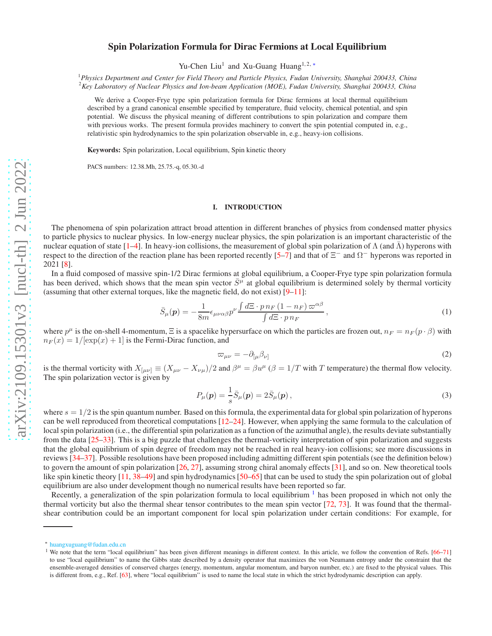# Spin Polarization Formula for Dirac Fermions at Local Equilibrium

Yu-Chen Liu<sup>1</sup> and Xu-Guang Huang<sup>1,2,\*</sup>

<sup>1</sup>*Physics Department and Center for Field Theory and Particle Physics, Fudan University, Shanghai 200433, China* <sup>2</sup>*Key Laboratory of Nuclear Physics and Ion-beam Application (MOE), Fudan University, Shanghai 200433, China*

We derive a Cooper-Frye type spin polarization formula for Dirac fermions at local thermal equilibrium described by a grand canonical ensemble specified by temperature, fluid velocity, chemical potential, and spin potential. We discuss the physical meaning of different contributions to spin polarization and compare them with previous works. The present formula provides machinery to convert the spin potential computed in, e.g., relativistic spin hydrodynamics to the spin polarization observable in, e.g., heavy-ion collisions.

Keywords: Spin polarization, Local equilibrium, Spin kinetic theory

PACS numbers: 12.38.Mh, 25.75.-q, 05.30.-d

## I. INTRODUCTION

The phenomena of spin polarization attract broad attention in different branches of physics from condensed matter physics to particle physics to nuclear physics. In low-energy nuclear physics, the spin polarization is an important characteristic of the nuclear equation of state [\[1](#page-7-0)[–4\]](#page-7-1). In heavy-ion collisions, the measurement of global spin polarization of Λ (and Λ) hyperons with respect to the direction of the reaction plane has been reported recently [\[5](#page-7-2)[–7\]](#page-7-3) and that of  $\Xi^-$  and  $\Omega^-$  hyperons was reported in 2021 [\[8\]](#page-7-4).

In a fluid composed of massive spin-1/2 Dirac fermions at global equilibrium, a Cooper-Frye type spin polarization formula has been derived, which shows that the mean spin vector  $\bar{S}^{\mu}$  at global equilibrium is determined solely by thermal vorticity (assuming that other external torques, like the magnetic field, do not exist) [\[9](#page-7-5)[–11\]](#page-7-6):

<span id="page-0-2"></span>
$$
\bar{S}_{\mu}(\mathbf{p}) = -\frac{1}{8m} \epsilon_{\mu\nu\alpha\beta} p^{\nu} \frac{\int d\Xi \cdot p \, n_F \left(1 - n_F\right) \varpi^{\alpha\beta}}{\int d\Xi \cdot p \, n_F},\tag{1}
$$

where  $p^{\mu}$  is the on-shell 4-momentum,  $\Xi$  is a spacelike hypersurface on which the particles are frozen out,  $n_F = n_F (p \cdot \beta)$  with  $n_F (x) = 1/[\exp(x) + 1]$  is the Fermi-Dirac function, and

$$
\varpi_{\mu\nu} = -\partial_{[\mu}\beta_{\nu]} \tag{2}
$$

is the thermal vorticity with  $X_{\mu\nu} \equiv (X_{\mu\nu} - X_{\nu\mu})/2$  and  $\beta^{\mu} = \beta u^{\mu}$  ( $\beta = 1/T$  with T temperature) the thermal flow velocity. The spin polarization vector is given by

$$
P_{\mu}(\mathbf{p}) = \frac{1}{s}\bar{S}_{\mu}(\mathbf{p}) = 2\bar{S}_{\mu}(\mathbf{p}),
$$
\n(3)

where  $s = 1/2$  is the spin quantum number. Based on this formula, the experimental data for global spin polarization of hyperons can be well reproduced from theoretical computations [\[12](#page-7-7)[–24](#page-7-8)]. However, when applying the same formula to the calculation of local spin polarization (i.e., the differential spin polarization as a function of the azimuthal angle), the results deviate substantially from the data [\[25](#page-7-9)[–33](#page-8-0)]. This is a big puzzle that challenges the thermal-vorticity interpretation of spin polarization and suggests that the global equilibrium of spin degree of freedom may not be reached in real heavy-ion collisions; see more discussions in reviews [\[34](#page-8-1)[–37\]](#page-8-2). Possible resolutions have been proposed including admitting different spin potentials (see the definition below) to govern the amount of spin polarization [\[26,](#page-7-10) [27\]](#page-7-11), assuming strong chiral anomaly effects [\[31](#page-8-3)], and so on. New theoretical tools like spin kinetic theory [\[11,](#page-7-6) [38](#page-8-4)[–49](#page-8-5)] and spin hydrodynamics [\[50](#page-8-6)[–65](#page-8-7)] that can be used to study the spin polarization out of global equilibrium are also under development though no numerical results have been reported so far.

Recently, a generalization of the spin polarization formula to local equilibrium  $<sup>1</sup>$  $<sup>1</sup>$  $<sup>1</sup>$  has been proposed in which not only the</sup> thermal vorticity but also the thermal shear tensor contributes to the mean spin vector [\[72](#page-8-8), [73\]](#page-8-9). It was found that the thermalshear contribution could be an important component for local spin polarization under certain conditions: For example, for

<span id="page-0-0"></span><sup>∗</sup> [huangxuguang@fudan.edu.cn](mailto:huangxuguang@fudan.edu.cn)

<span id="page-0-1"></span><sup>&</sup>lt;sup>1</sup> We note that the term "local equilibrium" has been given different meanings in different context. In this article, we follow the convention of Refs. [\[66](#page-8-10)[–71](#page-8-11)] to use "local equilibrium" to name the Gibbs state described by a density operator that maximizes the von Neumann entropy under the constraint that the ensemble-averaged densities of conserved charges (energy, momentum, angular momentum, and baryon number, etc.) are fixed to the physical values. This is different from, e.g., Ref. [\[63](#page-8-12)], where "local equilibrium" is used to name the local state in which the strict hydrodynamic description can apply.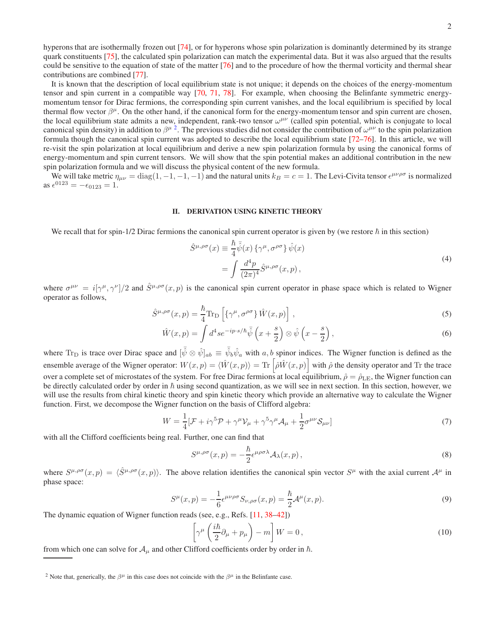hyperons that are isothermally frozen out [\[74](#page-8-13)], or for hyperons whose spin polarization is dominantly determined by its strange quark constituents [\[75\]](#page-8-14), the calculated spin polarization can match the experimental data. But it was also argued that the results could be sensitive to the equation of state of the matter [\[76\]](#page-8-15) and to the procedure of how the thermal vorticity and thermal shear contributions are combined [\[77\]](#page-8-16).

It is known that the description of local equilibrium state is not unique; it depends on the choices of the energy-momentum tensor and spin current in a compatible way [\[70](#page-8-17), [71,](#page-8-11) [78\]](#page-8-18). For example, when choosing the Belinfante symmetric energymomentum tensor for Dirac fermions, the corresponding spin current vanishes, and the local equilibrium is specified by local thermal flow vector  $\beta^{\mu}$ . On the other hand, if the canonical form for the energy-momentum tensor and spin current are chosen, the local equilibrium state admits a new, independent, rank-two tensor  $\omega^{\mu\nu}$  (called spin potential, which is conjugate to local canonical spin density) in addition to  $\beta^{\mu}$ <sup>[2](#page-1-0)</sup>. The previous studies did not consider the contribution of  $\omega^{\mu\nu}$  to the spin polarization formula though the canonical spin current was adopted to describe the local equilibrium state [\[72](#page-8-8)[–76\]](#page-8-15). In this article, we will re-visit the spin polarization at local equilibrium and derive a new spin polarization formula by using the canonical forms of energy-momentum and spin current tensors. We will show that the spin potential makes an additional contribution in the new spin polarization formula and we will discuss the physical content of the new formula.

We will take metric  $\eta_{\mu\nu} = \text{diag}(1, -1, -1, -1)$  and the natural units  $k_B = c = 1$ . The Levi-Civita tensor  $\epsilon^{\mu\nu\rho\sigma}$  is normalized as  $\epsilon^{0123} = -\epsilon_{0123} = 1.$ 

### II. DERIVATION USING KINETIC THEORY

We recall that for spin-1/2 Dirac fermions the canonical spin current operator is given by (we restore  $\hbar$  in this section)

$$
\hat{S}^{\mu,\rho\sigma}(x) \equiv \frac{\hbar}{4} \bar{\hat{\psi}}(x) \{ \gamma^{\mu}, \sigma^{\rho\sigma} \} \hat{\psi}(x)
$$
  
= 
$$
\int \frac{d^4 p}{(2\pi)^4} \hat{S}^{\mu,\rho\sigma}(x, p) ,
$$
 (4)

where  $\sigma^{\mu\nu} = i[\gamma^{\mu}, \gamma^{\nu}]/2$  and  $\hat{S}^{\mu,\rho\sigma}(x, p)$  is the canonical spin current operator in phase space which is related to Wigner operator as follows,

<span id="page-1-3"></span>
$$
\hat{S}^{\mu,\rho\sigma}(x,p) = \frac{\hbar}{4} \text{Tr}_{\text{D}} \left[ \{ \gamma^{\mu}, \sigma^{\rho\sigma} \} \hat{W}(x,p) \right], \tag{5}
$$

$$
\hat{W}(x,p) = \int d^4 s e^{-ip \cdot s/\hbar} \overline{\hat{\psi}} \left(x + \frac{s}{2}\right) \otimes \hat{\psi} \left(x - \frac{s}{2}\right),\tag{6}
$$

where  $Tr_D$  is trace over Dirac space and  $[\bar{\hat{\psi}} \otimes \hat{\psi}]_{ab} \equiv \bar{\hat{\psi}}_b \hat{\psi}_a$  with a, b spinor indices. The Wigner function is defined as the ensemble average of the Wigner operator:  $W(x, p) = \langle \hat{W}(x, p) \rangle = \text{Tr} \left[ \hat{\rho} \hat{W}(x, p) \right]$  with  $\hat{\rho}$  the density operator and Tr the trace over a complete set of microstates of the system. For free Dirac fermions at local equilibrium,  $\hat{\rho} = \hat{\rho}_{\text{LE}}$ , the Wigner function can be directly calculated order by order in  $\hbar$  using second quantization, as we will see in next section. In this section, however, we will use the results from chiral kinetic theory and spin kinetic theory which provide an alternative way to calculate the Wigner function. First, we decompose the Wigner function on the basis of Clifford algebra:

<span id="page-1-1"></span>
$$
W = \frac{1}{4} [\mathcal{F} + i\gamma^5 \mathcal{P} + \gamma^\mu \mathcal{V}_\mu + \gamma^5 \gamma^\mu \mathcal{A}_\mu + \frac{1}{2} \sigma^{\mu\nu} \mathcal{S}_{\mu\nu}] \tag{7}
$$

with all the Clifford coefficients being real. Further, one can find that

$$
S^{\mu,\rho\sigma}(x,p) = -\frac{\hbar}{2} \epsilon^{\mu\rho\sigma\lambda} \mathcal{A}_{\lambda}(x,p) , \qquad (8)
$$

where  $S^{\mu,\rho\sigma}(x,p) = \langle \hat{S}^{\mu,\rho\sigma}(x,p) \rangle$ . The above relation identifies the canonical spin vector  $S^{\mu}$  with the axial current  $\mathcal{A}^{\mu}$  in phase space:

<span id="page-1-4"></span>
$$
S^{\mu}(x,p) = -\frac{1}{6} \epsilon^{\mu\nu\rho\sigma} S_{\nu,\rho\sigma}(x,p) = \frac{\hbar}{2} \mathcal{A}^{\mu}(x,p). \tag{9}
$$

The dynamic equation of Wigner function reads (see, e.g., Refs. [\[11,](#page-7-6) [38](#page-8-4)[–42](#page-8-19)])

<span id="page-1-2"></span>
$$
\left[\gamma^{\mu}\left(\frac{i\hbar}{2}\partial_{\mu}+p_{\mu}\right)-m\right]W=0\,,\tag{10}
$$

from which one can solve for  $A<sub>u</sub>$  and other Clifford coefficients order by order in  $\hbar$ .

<span id="page-1-0"></span><sup>&</sup>lt;sup>2</sup> Note that, generically, the  $\beta^{\mu}$  in this case does not coincide with the  $\beta^{\mu}$  in the Belinfante case.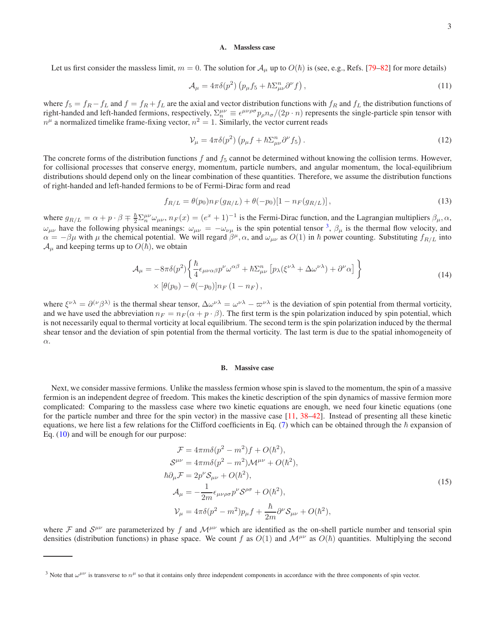### A. Massless case

<span id="page-2-4"></span>Let us first consider the massless limit,  $m = 0$ . The solution for  $\mathcal{A}_{\mu}$  up to  $O(\hbar)$  is (see, e.g., Refs. [\[79–](#page-8-20)[82\]](#page-8-21) for more details)

$$
\mathcal{A}_{\mu} = 4\pi\delta(p^2) \left( p_{\mu} f_5 + \hbar \Sigma_{\mu\nu}^n \partial^{\nu} f \right), \tag{11}
$$

where  $f_5 = f_R - f_L$  and  $f = f_R + f_L$  are the axial and vector distribution functions with  $f_R$  and  $f_L$  the distribution functions of right-handed and left-handed fermions, respectively,  $\Sigma_n^{\mu\nu} \equiv \epsilon^{\mu\nu\rho\sigma} p_\rho n_\sigma/(2p \cdot n)$  represents the single-particle spin tensor with  $n^{\mu}$  a normalized timelike frame-fixing vector,  $n^2 = 1$ . Similarly, the vector current reads

$$
\mathcal{V}_{\mu} = 4\pi \delta(p^2) \left( p_{\mu} f + \hbar \Sigma_{\mu\nu}^n \partial^{\nu} f_5 \right). \tag{12}
$$

The concrete forms of the distribution functions  $f$  and  $f_5$  cannot be determined without knowing the collision terms. However, for collisional processes that conserve energy, momentum, particle numbers, and angular momentum, the local-equilibrium distributions should depend only on the linear combination of these quantities. Therefore, we assume the distribution functions of right-handed and left-handed fermions to be of Fermi-Dirac form and read

<span id="page-2-2"></span>
$$
f_{R/L} = \theta(p_0) n_F(g_{R/L}) + \theta(-p_0)[1 - n_F(g_{R/L})],
$$
\n(13)

where  $g_{R/L} = \alpha + p \cdot \beta \mp \frac{\hbar}{2} \sum_{n}^{\mu\nu} \omega_{\mu\nu}$ ,  $n_F(x) = (e^x + 1)^{-1}$  is the Fermi-Dirac function, and the Lagrangian multipliers  $\beta_{\mu}$ ,  $\alpha$ ,  $\omega_{\mu\nu}$  have the following physical meanings:  $\omega_{\mu\nu} = -\omega_{\nu\mu}$  is the spin potential tensor <sup>[3](#page-2-0)</sup>,  $\beta_{\mu}$  is the thermal flow velocity, and  $\alpha = -\beta\mu$  with  $\mu$  the chemical potential. We will regard  $\beta^{\mu}$ ,  $\alpha$ , and  $\omega_{\mu\nu}$  as  $O(1)$  in  $\hbar$  power counting. Substituting  $f_{R/L}$  into  $\mathcal{A}_{\mu}$  and keeping terms up to  $O(\hbar)$ , we obtain

$$
\mathcal{A}_{\mu} = -8\pi\delta(p^2) \left\{ \frac{\hbar}{4} \epsilon_{\mu\nu\alpha\beta} p^{\nu} \omega^{\alpha\beta} + \hbar \Sigma_{\mu\nu}^n \left[ p_{\lambda} (\xi^{\nu\lambda} + \Delta \omega^{\nu\lambda}) + \partial^{\nu} \alpha \right] \right\} \times \left[ \theta(p_0) - \theta(-p_0) \right] n_F (1 - n_F),
$$
\n(14)

<span id="page-2-3"></span>where  $\xi^{\nu\lambda} = \partial^{(\nu}\beta^{\lambda)}$  is the thermal shear tensor,  $\Delta\omega^{\nu\lambda} = \omega^{\nu\lambda} - \omega^{\nu\lambda}$  is the deviation of spin potential from thermal vorticity, and we have used the abbreviation  $n_F = n_F (\alpha + p \cdot \beta)$ . The first term is the spin polarization induced by spin potential, which is not necessarily equal to thermal vorticity at local equilibrium. The second term is the spin polarization induced by the thermal shear tensor and the deviation of spin potential from the thermal vorticity. The last term is due to the spatial inhomogeneity of α.

#### B. Massive case

Next, we consider massive fermions. Unlike the massless fermion whose spin is slaved to the momentum, the spin of a massive fermion is an independent degree of freedom. This makes the kinetic description of the spin dynamics of massive fermion more complicated: Comparing to the massless case where two kinetic equations are enough, we need four kinetic equations (one for the particle number and three for the spin vector) in the massive case [\[11](#page-7-6), [38](#page-8-4)[–42\]](#page-8-19). Instead of presenting all these kinetic equations, we here list a few relations for the Clifford coefficients in Eq. [\(7\)](#page-1-1) which can be obtained through the  $\hbar$  expansion of Eq. [\(10\)](#page-1-2) and will be enough for our purpose:

<span id="page-2-1"></span>
$$
\mathcal{F} = 4\pi m\delta(p^2 - m^2)f + O(\hbar^2),
$$
  
\n
$$
\mathcal{S}^{\mu\nu} = 4\pi m\delta(p^2 - m^2)\mathcal{M}^{\mu\nu} + O(\hbar^2),
$$
  
\n
$$
\hbar \partial_{\mu}\mathcal{F} = 2p^{\nu}\mathcal{S}_{\mu\nu} + O(\hbar^2),
$$
  
\n
$$
\mathcal{A}_{\mu} = -\frac{1}{2m}\epsilon_{\mu\nu\rho\sigma}p^{\nu}\mathcal{S}^{\rho\sigma} + O(\hbar^2),
$$
  
\n
$$
\mathcal{V}_{\mu} = 4\pi\delta(p^2 - m^2)p_{\mu}f + \frac{\hbar}{2m}\partial^{\nu}\mathcal{S}_{\mu\nu} + O(\hbar^2),
$$
\n(15)

where F and  $S^{\mu\nu}$  are parameterized by f and  $\mathcal{M}^{\mu\nu}$  which are identified as the on-shell particle number and tensorial spin densities (distribution functions) in phase space. We count f as  $O(1)$  and  $\mathcal{M}^{\mu\nu}$  as  $O(\hbar)$  quantities. Multiplying the second

<span id="page-2-0"></span><sup>&</sup>lt;sup>3</sup> Note that  $\omega^{\mu\nu}$  is transverse to  $n^{\mu}$  so that it contains only three independent components in accordance with the three components of spin vector.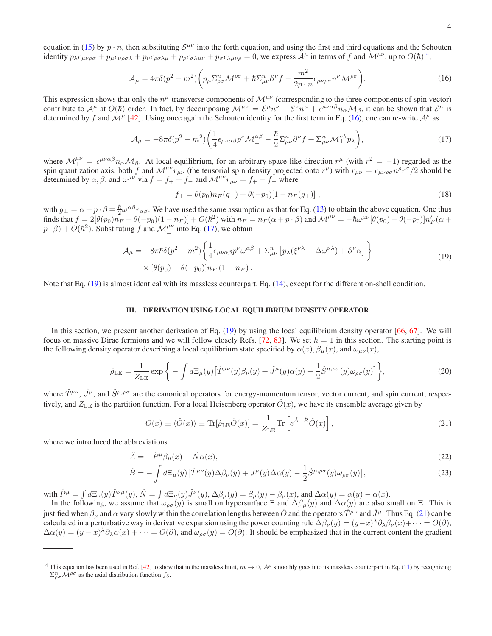equation in [\(15\)](#page-2-1) by  $p \cdot n$ , then substituting  $S^{\mu\nu}$  into the forth equation, and using the first and third equations and the Schouten identity  $p_{\lambda} \epsilon_{\mu\nu\rho\sigma} + p_{\mu} \epsilon_{\nu\rho\sigma\lambda} + p_{\nu} \epsilon_{\rho\sigma\lambda\mu} + p_{\rho} \epsilon_{\sigma\lambda\mu\nu} + p_{\sigma} \epsilon_{\lambda\mu\nu\rho} = 0$ , we express  $\mathcal{A}^{\mu}$  in terms of f and  $\mathcal{M}^{\mu\nu}$ , up to  $O(\hbar)^4$  $O(\hbar)^4$ ,

$$
\mathcal{A}_{\mu} = 4\pi\delta(p^2 - m^2) \left( p_{\mu} \Sigma_{\rho\sigma}^n \mathcal{M}^{\rho\sigma} + \hbar \Sigma_{\mu\nu}^n \partial^{\nu} f - \frac{m^2}{2p \cdot n} \epsilon_{\mu\nu\rho\sigma} n^{\nu} \mathcal{M}^{\rho\sigma} \right). \tag{16}
$$

<span id="page-3-1"></span>This expression shows that only the  $n^{\mu}$ -transverse components of  $\mathcal{M}^{\mu\nu}$  (corresponding to the three components of spin vector) contribute to  $\mathcal{A}^{\mu}$  at  $O(\hbar)$  order. In fact, by decomposing  $\mathcal{M}^{\mu\nu} = \mathcal{E}^{\mu} n^{\nu} - \mathcal{E}^{\nu} n^{\mu} + \epsilon^{\mu\nu\alpha\beta} n_{\alpha} \mathcal{M}_{\beta}$ , it can be shown that  $\mathcal{E}^{\mu}$  is determined by f and  $\mathcal{M}^{\mu}$  [\[42](#page-8-19)]. Using once again the Schouten identity for the first term in Eq. [\(16\)](#page-3-1), one can re-write  $\mathcal{A}^{\mu}$  as

$$
\mathcal{A}_{\mu} = -8\pi\delta(p^2 - m^2) \left( \frac{1}{4} \epsilon_{\mu\nu\alpha\beta} p^{\nu} \mathcal{M}_{\perp}^{\alpha\beta} - \frac{\hbar}{2} \Sigma_{\mu\nu}^n \partial^{\nu} f + \Sigma_{\mu\nu}^n \mathcal{M}_{\perp}^{\nu\lambda} p_{\lambda} \right),\tag{17}
$$

<span id="page-3-2"></span>where  $M^{\mu\nu}_\perp = \epsilon^{\mu\nu\alpha\beta} n_\alpha M_\beta$ . At local equilibrium, for an arbitrary space-like direction  $r^\mu$  (with  $r^2 = -1$ ) regarded as the spin quantization axis, both f and  $\mathcal{M}_{\perp}^{\mu\nu} r_{\mu\nu}$  (the tensorial spin density projected onto  $r^{\mu}$ ) with  $r_{\mu\nu} = \epsilon_{\mu\nu\rho\sigma} n^{\rho} r^{\sigma}/2$  should be determined by  $\alpha$ ,  $\beta$ , and  $\omega^{\mu\nu}$  via  $f = \overline{f}_+ + \overline{f}_-$  and  $\mathcal{M}_{\perp}^{\mu\nu} r_{\mu\nu} = f_+ - \overline{f}_-$  where

$$
f_{\pm} = \theta(p_0) n_F(g_{\pm}) + \theta(-p_0)[1 - n_F(g_{\pm})], \qquad (18)
$$

with  $g_{\pm} = \alpha + p \cdot \beta \mp \frac{\hbar}{2} \omega^{\alpha \beta} r_{\alpha \beta}$ . We have used the same assumption as that for Eq. [\(13\)](#page-2-2) to obtain the above equation. One thus with  $g_{\pm} = \alpha + p^2 + 2\alpha + a\beta$ . We have ased the same assumption as that for Eq. (15) to both the above equation. One that  $p \cdot \beta$ ) +  $O(\hbar^2)$ . Substituting  $\hat{f}$  and  $\mathcal{M}_{\perp}^{\mu\nu}$  into Eq. [\(17\)](#page-3-2), we obtain

$$
\mathcal{A}_{\mu} = -8\pi\hbar\delta(p^2 - m^2) \left\{ \frac{1}{4} \epsilon_{\mu\nu\alpha\beta} p^{\nu} \omega^{\alpha\beta} + \Sigma_{\mu\nu}^n \left[ p_{\lambda} (\xi^{\nu\lambda} + \Delta\omega^{\nu\lambda}) + \partial^{\nu} \alpha \right] \right\} \times \left[ \theta(p_0) - \theta(-p_0) \right] n_F (1 - n_F). \tag{19}
$$

<span id="page-3-3"></span>Note that Eq. [\(19\)](#page-3-3) is almost identical with its massless counterpart, Eq. [\(14\)](#page-2-3), except for the different on-shell condition.

### <span id="page-3-6"></span>III. DERIVATION USING LOCAL EQUILIBRIUM DENSITY OPERATOR

In this section, we present another derivation of Eq. [\(19\)](#page-3-3) by using the local equilibrium density operator [\[66](#page-8-10), [67\]](#page-8-22). We will focus on massive Dirac fermions and we will follow closely Refs. [\[72,](#page-8-8) [83\]](#page-8-23). We set  $\hbar = 1$  in this section. The starting point is the following density operator describing a local equilibrium state specified by  $\alpha(x)$ ,  $\beta_u(x)$ , and  $\omega_{\mu\nu}(x)$ ,

$$
\hat{\rho}_{\rm LE} = \frac{1}{Z_{\rm LE}} \exp\bigg\{-\int d\Xi_{\mu}(y) \big[\hat{T}^{\mu\nu}(y)\beta_{\nu}(y) + \hat{J}^{\mu}(y)\alpha(y) - \frac{1}{2}\hat{S}^{\mu,\rho\sigma}(y)\omega_{\rho\sigma}(y)\big]\bigg\},\tag{20}
$$

<span id="page-3-5"></span>where  $\hat{T}^{\mu\nu}$ ,  $\hat{J}^{\mu}$ , and  $\hat{S}^{\mu,\rho\sigma}$  are the canonical operators for energy-momentum tensor, vector current, and spin current, respectively, and  $Z_{LE}$  is the partition function. For a local Heisenberg operator  $\hat{O}(x)$ , we have its ensemble average given by

<span id="page-3-4"></span>
$$
O(x) \equiv \langle \hat{O}(x) \rangle \equiv \text{Tr}[\hat{\rho}_{\text{LE}} \hat{O}(x)] = \frac{1}{Z_{\text{LE}}} \text{Tr} \left[ e^{\hat{A} + \hat{B}} \hat{O}(x) \right],\tag{21}
$$

where we introduced the abbreviations

$$
\hat{A} = -\hat{P}^{\mu}\beta_{\mu}(x) - \hat{N}\alpha(x),\tag{22}
$$

$$
\hat{B} = -\int d\Xi_{\mu}(y) \left[ \hat{T}^{\mu\nu}(y) \Delta \beta_{\nu}(y) + \hat{J}^{\mu}(y) \Delta \alpha(y) - \frac{1}{2} \hat{S}^{\mu,\rho\sigma}(y) \omega_{\rho\sigma}(y) \right],\tag{23}
$$

with  $\hat{P}^{\mu} = \int d\Xi_{\nu}(y) \hat{T}^{\nu\mu}(y), \hat{N} = \int d\Xi_{\nu}(y) \hat{J}^{\nu}(y), \Delta \beta_{\mu}(y) = \beta_{\mu}(y) - \beta_{\mu}(x)$ , and  $\Delta \alpha(y) = \alpha(y) - \alpha(x)$ .

In the following, we assume that  $\omega_{\rho\sigma}(y)$  is small on hypersurface  $\Xi$  and  $\Delta\beta_{\mu}(y)$  and  $\Delta\alpha(y)$  are also small on  $\Xi$ . This is justified when  $\beta_\mu$  and  $\alpha$  vary slowly within the correlation lengths between  $\hat{O}$  and the operators  $\hat{T}^{\mu\nu}$  and  $\hat{J}^\mu$ . Thus Eq. [\(21\)](#page-3-4) can be calculated in a perturbative way in derivative expansion using the power counting rule  $\Delta\beta_{\nu}(y) = (y-x)^{\lambda}\partial_{\lambda}\beta_{\nu}(x) + \cdots = O(\partial)$ ,  $\Delta\alpha(y)=(y-x)^{\lambda}\partial_{\lambda}\alpha(x)+\cdots=O(\partial)$ , and  $\omega_{\rho\sigma}(y)=O(\partial)$ . It should be emphasized that in the current content the gradient

<span id="page-3-0"></span><sup>&</sup>lt;sup>4</sup> This equation has been used in Ref. [\[42](#page-8-19)] to show that in the massless limit,  $m \to 0$ ,  $A^{\mu}$  smoothly goes into its massless counterpart in Eq. [\(11\)](#page-2-4) by recognizing  $\sum_{\rho\sigma}^n \mathcal{M}^{\rho\sigma}$  as the axial distribution function  $f_5$ .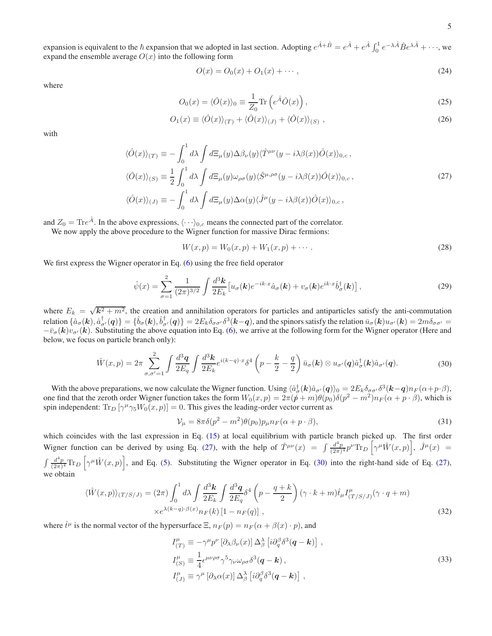expansion is equivalent to the  $\hbar$  expansion that we adopted in last section. Adopting  $e^{\hat{A}+\hat{B}} = e^{\hat{A}} + e^{\hat{A}} \int_0^1 e^{-\lambda \hat{A}} \hat{B} e^{\lambda \hat{A}} + \cdots$ , we expand the ensemble average  $O(x)$  into the following form

$$
O(x) = O_0(x) + O_1(x) + \cdots,
$$
\n(24)

where

$$
O_0(x) = \langle \hat{O}(x) \rangle_0 \equiv \frac{1}{Z_0} \text{Tr} \left( e^{\hat{A}} \hat{O}(x) \right), \tag{25}
$$

$$
O_1(x) \equiv \langle \hat{O}(x) \rangle_{(T)} + \langle \hat{O}(x) \rangle_{(J)} + \langle \hat{O}(x) \rangle_{(S)}, \qquad (26)
$$

<span id="page-4-0"></span>with

$$
\langle \hat{O}(x) \rangle_{(T)} \equiv -\int_0^1 d\lambda \int d\Xi_{\mu}(y) \Delta \beta_{\nu}(y) \langle \hat{T}^{\mu\nu}(y - i\lambda \beta(x)) \hat{O}(x) \rangle_{0,c},
$$
  

$$
\langle \hat{O}(x) \rangle_{(S)} \equiv \frac{1}{2} \int_0^1 d\lambda \int d\Xi_{\mu}(y) \omega_{\rho\sigma}(y) \langle \hat{S}^{\mu,\rho\sigma}(y - i\lambda \beta(x)) \hat{O}(x) \rangle_{0,c},
$$
  

$$
\langle \hat{O}(x) \rangle_{(J)} \equiv -\int_0^1 d\lambda \int d\Xi_{\mu}(y) \Delta \alpha(y) \langle \hat{J}^{\mu}(y - i\lambda \beta(x)) \hat{O}(x) \rangle_{0,c},
$$
\n(27)

and  $Z_0 = \text{Tr}e^{\hat{A}}$ . In the above expressions,  $\langle \cdots \rangle_{0,c}$  means the connected part of the correlator.

We now apply the above procedure to the Wigner function for massive Dirac fermions:

$$
W(x,p) = W_0(x,p) + W_1(x,p) + \cdots
$$
 (28)

We first express the Wigner operator in Eq. [\(6\)](#page-1-3) using the free field operator

$$
\hat{\psi}(x) = \sum_{\sigma=1}^{2} \frac{1}{(2\pi)^{3/2}} \int \frac{d^3\mathbf{k}}{2E_k} \left[ u_{\sigma}(\mathbf{k}) e^{-ik \cdot x} \hat{a}_{\sigma}(\mathbf{k}) + v_{\sigma}(\mathbf{k}) e^{ik \cdot x} \hat{b}_{\sigma}^{\dagger}(\mathbf{k}) \right],\tag{29}
$$

where  $E_k = \sqrt{k^2 + m^2}$ , the creation and annihilation operators for particles and antiparticles satisfy the anti-commutation relation  $\{\hat{a}_{\sigma}(\mathbf{k}),\hat{a}^{\dagger}_{\sigma'}(\mathbf{q})\} = \{\hat{b}_{\sigma}(\mathbf{k}),\hat{b}^{\dagger}_{\sigma'}(\mathbf{q})\} = 2E_k\delta_{\sigma\sigma'}\delta^3(\mathbf{k}-\mathbf{q})$ , and the spinors satisfy the relation  $\bar{u}_{\sigma}(\mathbf{k})u_{\sigma'}(\mathbf{k}) = 2m\delta_{\sigma\sigma'} =$  $-\bar{v}_{\sigma}(\mathbf{k})v_{\sigma}(\mathbf{k})$ . Substituting the above equation into Eq. [\(6\)](#page-1-3), we arrive at the following form for the Wigner operator (Here and below, we focus on particle branch only):

$$
\hat{W}(x,p) = 2\pi \sum_{\sigma,\sigma'=1}^{2} \int \frac{d^3\mathbf{q}}{2E_q} \int \frac{d^3\mathbf{k}}{2E_k} e^{i(k-q)\cdot x} \delta^4 \left(p - \frac{k}{2} - \frac{q}{2}\right) \bar{u}_{\sigma}(\mathbf{k}) \otimes u_{\sigma'}(\mathbf{q}) \hat{a}_{\sigma}^{\dagger}(\mathbf{k}) \hat{a}_{\sigma'}(\mathbf{q}). \tag{30}
$$

<span id="page-4-1"></span>With the above preparations, we now calculate the Wigner function. Using  $\langle \hat{a}^{\dagger}_{\sigma}(\mathbf{k}) \hat{a}_{\sigma'}(q) \rangle_0 = 2 E_k \delta_{\sigma \sigma'} \delta^3(\mathbf{k} - q) n_F (\alpha + p \cdot \beta)$ , one find that the zeroth order Wigner function takes the form  $W_0(x,p) = 2\pi(\not p + m)\theta(p_0)\delta(p^2 - m^2)n_F(\alpha + p \cdot \beta)$ , which is spin independent:  $Tr_D[\gamma^{\mu}\gamma_5 W_0(x, p)] = 0$ . This gives the leading-order vector current as

$$
\mathcal{V}_{\mu} = 8\pi\delta(p^2 - m^2)\theta(p_0)p_{\mu}n_F(\alpha + p \cdot \beta),\tag{31}
$$

which coincides with the last expression in Eq. [\(15\)](#page-2-1) at local equilibrium with particle branch picked up. The first order Wigner function can be derived by using Eq. [\(27\)](#page-4-0), with the help of  $\hat{T}^{\mu\nu}(x) = \int \frac{d^4p}{(2\pi)^4} p^{\nu} \text{Tr}_D \left[ \gamma^{\mu} \hat{W}(x, p) \right]$ ,  $\hat{J}^{\mu}(x) =$  $\int \frac{d^4p}{(2\pi)^4} \text{Tr}_D \left[ \gamma^{\mu} \hat{W}(x, p) \right]$ , and Eq. [\(5\)](#page-1-3). Substituting the Wigner operator in Eq. [\(30\)](#page-4-1) into the right-hand side of Eq. [\(27\)](#page-4-0), we obtain

<span id="page-4-2"></span>
$$
\langle \hat{W}(x,p) \rangle_{(T/S/J)} = (2\pi) \int_0^1 d\lambda \int \frac{d^3 \mathbf{k}}{2E_k} \int \frac{d^3 \mathbf{q}}{2E_q} \delta^4 \left( p - \frac{q+k}{2} \right) (\gamma \cdot k + m) \hat{t}_{\mu} I^{\mu}_{(T/S/J)} (\gamma \cdot q + m) \times e^{\lambda (k-q) \cdot \beta(x)} n_F(k) [1 - n_F(q)],
$$
\n(32)

where  $\hat{t}^{\mu}$  is the normal vector of the hypersurface  $\Xi$ ,  $n_F(p) = n_F(\alpha + \beta(x) \cdot p)$ , and

$$
I_{(T)}^{\mu} \equiv -\gamma^{\mu} p^{\nu} \left[ \partial_{\lambda} \beta_{\nu}(x) \right] \Delta_{\beta}^{\lambda} \left[ i \partial_{q}^{\beta} \delta^{3} (\boldsymbol{q} - \boldsymbol{k}) \right],
$$
  
\n
$$
I_{(S)}^{\mu} \equiv \frac{1}{4} \epsilon^{\mu \nu \rho \sigma} \gamma^{5} \gamma_{\nu} \omega_{\rho \sigma} \delta^{3} (\boldsymbol{q} - \boldsymbol{k}),
$$
  
\n
$$
I_{(J)}^{\mu} \equiv \gamma^{\mu} \left[ \partial_{\lambda} \alpha(x) \right] \Delta_{\beta}^{\lambda} \left[ i \partial_{q}^{\beta} \delta^{3} (\boldsymbol{q} - \boldsymbol{k}) \right],
$$
\n(33)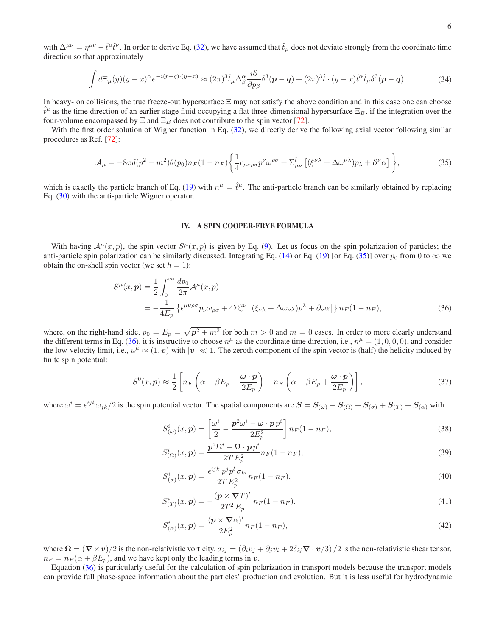with  $\Delta^{\mu\nu} = \eta^{\mu\nu} - \hat{t}^{\mu}\hat{t}^{\nu}$ . In order to derive Eq. [\(32\)](#page-4-2), we have assumed that  $\hat{t}_{\mu}$  does not deviate strongly from the coordinate time direction so that approximately

$$
\int d\Xi_{\mu}(y)(y-x)^{\alpha}e^{-i(p-q)\cdot(y-x)} \approx (2\pi)^{3}\hat{t}_{\mu}\Delta^{\alpha}_{\beta}\frac{i\partial}{\partial p_{\beta}}\delta^{3}(p-q) + (2\pi)^{3}\hat{t}\cdot(y-x)\hat{t}^{\alpha}\hat{t}_{\mu}\delta^{3}(p-q). \tag{34}
$$

In heavy-ion collisions, the true freeze-out hypersurface Ξ may not satisfy the above condition and in this case one can choose  $\hat{t}^{\mu}$  as the time direction of an earlier-stage fluid occupying a flat three-dimensional hypersurface  $\Xi_B$ , if the integration over the four-volume encompassed by  $\Xi$  and  $\Xi_B$  does not contribute to the spin vector [\[72](#page-8-8)].

With the first order solution of Wigner function in Eq. [\(32\)](#page-4-2), we directly derive the following axial vector following similar procedures as Ref. [\[72\]](#page-8-8):

$$
\mathcal{A}_{\mu} = -8\pi\delta(p^2 - m^2)\theta(p_0)n_F(1 - n_F)\left\{\frac{1}{4}\epsilon_{\mu\nu\rho\sigma}p^{\nu}\omega^{\rho\sigma} + \Sigma^{\hat{t}}_{\mu\nu}\left[(\xi^{\nu\lambda} + \Delta\omega^{\nu\lambda})p_{\lambda} + \partial^{\nu}\alpha\right]\right\},\tag{35}
$$

<span id="page-5-0"></span>which is exactly the particle branch of Eq. [\(19\)](#page-3-3) with  $n^{\mu} = \hat{t}^{\mu}$ . The anti-particle branch can be similarly obtained by replacing Eq. [\(30\)](#page-4-1) with the anti-particle Wigner operator.

## IV. A SPIN COOPER-FRYE FORMULA

With having  $A^{\mu}(x, p)$ , the spin vector  $S^{\mu}(x, p)$  is given by Eq. [\(9\)](#page-1-4). Let us focus on the spin polarization of particles; the anti-particle spin polarization can be similarly discussed. Integrating Eq. [\(14\)](#page-2-3) or Eq. [\(19\)](#page-3-3) [or Eq. [\(35\)](#page-5-0)] over  $p_0$  from 0 to  $\infty$  we obtain the on-shell spin vector (we set  $\hbar = 1$ ):

<span id="page-5-1"></span>
$$
S^{\mu}(x, p) = \frac{1}{2} \int_0^{\infty} \frac{dp_0}{2\pi} \mathcal{A}^{\mu}(x, p)
$$
  
= 
$$
-\frac{1}{4E_p} \left\{ \epsilon^{\mu\nu\rho\sigma} p_{\nu}\omega_{\rho\sigma} + 4\Sigma_n^{\mu\nu} \left[ (\xi_{\nu\lambda} + \Delta\omega_{\nu\lambda}) p^{\lambda} + \partial_{\nu}\alpha \right] \right\} n_F (1 - n_F),
$$
 (36)

where, on the right-hand side,  $p_0 = E_p = \sqrt{p^2 + m^2}$  for both  $m > 0$  and  $m = 0$  cases. In order to more clearly understand the different terms in Eq. [\(36\)](#page-5-1), it is instructive to choose  $n^{\mu}$  as the coordinate time direction, i.e.,  $n^{\mu} = (1, 0, 0, 0)$ , and consider the low-velocity limit, i.e.,  $u^{\mu} \approx (1, v)$  with  $|v| \ll 1$ . The zeroth component of the spin vector is (half) the helicity induced by finite spin potential:

$$
S^{0}(x, \mathbf{p}) \approx \frac{1}{2} \left[ n_{F} \left( \alpha + \beta E_{p} - \frac{\omega \cdot \mathbf{p}}{2E_{p}} \right) - n_{F} \left( \alpha + \beta E_{p} + \frac{\omega \cdot \mathbf{p}}{2E_{p}} \right) \right],
$$
\n(37)

where  $\omega^i = \epsilon^{ijk}\omega_{jk}/2$  is the spin potential vector. The spatial components are  $\mathbf{S} = \mathbf{S}_{(\omega)} + \mathbf{S}_{(\Omega)} + \mathbf{S}_{(\sigma)} + \mathbf{S}_{(T)} + \mathbf{S}_{(\alpha)}$  with

$$
S^i_{(\omega)}(x,\mathbf{p}) = \left[\frac{\omega^i}{2} - \frac{\mathbf{p}^2 \omega^i - \mathbf{\omega} \cdot \mathbf{p} p^i}{2E_p^2}\right] n_F(1 - n_F),\tag{38}
$$

$$
S_{(\Omega)}^i(x, \mathbf{p}) = \frac{\mathbf{p}^2 \Omega^i - \mathbf{\Omega} \cdot \mathbf{p} p^i}{2T E_p^2} n_F (1 - n_F),\tag{39}
$$

$$
S^i_{(\sigma)}(x, \mathbf{p}) = \frac{\epsilon^{ijk} p^j p^l \sigma_{kl}}{2T E_p^2} n_F (1 - n_F), \tag{40}
$$

$$
S_{(T)}^{i}(x, p) = -\frac{(p \times \nabla T)^{i}}{2T^{2} E_{p}} n_{F}(1 - n_{F}),
$$
\n(41)

$$
S^i_{(\alpha)}(x,\mathbf{p}) = \frac{(\mathbf{p} \times \nabla \alpha)^i}{2E_p^2} n_F(1 - n_F),\tag{42}
$$

where  $\Omega = (\nabla \times v)/2$  is the non-relativistic vorticity,  $\sigma_{ij} = (\partial_i v_j + \partial_j v_i + 2\delta_{ij} \nabla \cdot v/3)/2$  is the non-relativistic shear tensor,  $n_F = n_F (\alpha + \beta E_p)$ , and we have kept only the leading terms in v.

Equation [\(36\)](#page-5-1) is particularly useful for the calculation of spin polarization in transport models because the transport models can provide full phase-space information about the particles' production and evolution. But it is less useful for hydrodynamic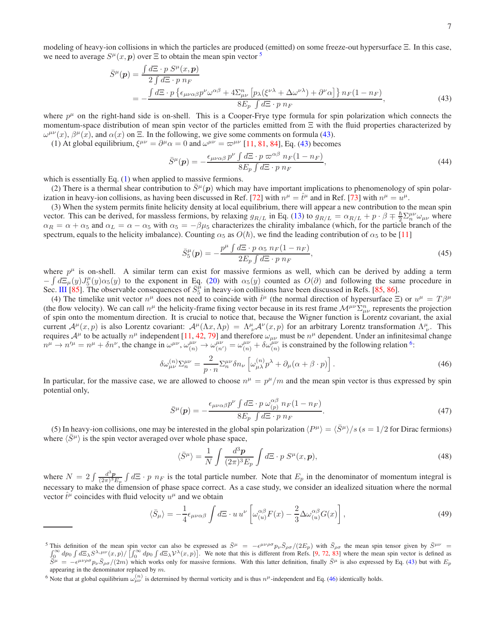modeling of heavy-ion collisions in which the particles are produced (emitted) on some freeze-out hypersurface Ξ. In this case, we need to average  $S^{\mu}(x, p)$  over  $\Xi$  to obtain the mean spin vector  $\overline{S}$ 

<span id="page-6-1"></span>
$$
\bar{S}^{\mu}(\mathbf{p}) = \frac{\int d\Xi \cdot p \; S^{\mu}(x, \mathbf{p})}{2 \int d\Xi \cdot p \; n_{F}} \n= -\frac{\int d\Xi \cdot p \left\{ \epsilon_{\mu\nu\alpha\beta} p^{\nu} \omega^{\alpha\beta} + 4 \Sigma_{\mu\nu}^{n} \left[ p_{\lambda} (\xi^{\nu\lambda} + \Delta \omega^{\nu\lambda}) + \partial^{\nu} \alpha \right] \right\} n_{F} (1 - n_{F})}{8E_{p} \int d\Xi \cdot p \; n_{F}},
$$
\n(43)

where  $p^{\mu}$  on the right-hand side is on-shell. This is a Cooper-Frye type formula for spin polarization which connects the momentum-space distribution of mean spin vector of the particles emitted from Ξ with the fluid properties characterized by  $\omega^{\mu\nu}(x)$ ,  $\beta^{\mu}(x)$ , and  $\alpha(x)$  on  $\Xi$ . In the following, we give some comments on formula [\(43\)](#page-6-1).

(1) At global equilibrium,  $\xi^{\mu\nu} = \partial^{\mu}\alpha = 0$  and  $\omega^{\mu\nu} = \omega^{\mu\nu}$  [\[11](#page-7-6), [81](#page-8-24), [84](#page-8-25)], Eq. [\(43\)](#page-6-1) becomes

$$
\bar{S}^{\mu}(\mathbf{p}) = -\frac{\epsilon_{\mu\nu\alpha\beta}p^{\nu}\int d\Xi \cdot p \,\varpi^{\alpha\beta} \,n_F(1-n_F)}{8E_p\int d\Xi \cdot p \,n_F},\tag{44}
$$

which is essentially Eq. [\(1\)](#page-0-2) when applied to massive fermions.

(2) There is a thermal shear contribution to  $\bar{S}^{\mu}(p)$  which may have important implications to phenomenology of spin polar-ization in heavy-ion collisions, as having been discussed in Ref. [\[72](#page-8-8)] with  $n^{\mu} = \hat{t}^{\mu}$  and in Ref. [\[73](#page-8-9)] with  $n^{\mu} = u^{\mu}$ .

(3) When the system permits finite helicity density at local equilibrium, there will appear a new contribution to the mean spin vector. This can be derived, for massless fermions, by relaxing  $g_{R/L}$  in Eq. [\(13\)](#page-2-2) to  $g_{R/L} = \alpha_{R/L} + p \cdot \beta \mp \frac{\hbar}{2} \Sigma_n^{\mu\nu} \omega_{\mu\nu}$  where  $\alpha_R = \alpha + \alpha_5$  and  $\alpha_L = \alpha - \alpha_5$  with  $\alpha_5 = -\beta\mu_5$  characterizes the chirality imbalance (which, for the particle branch of the spectrum, equals to the helicity imbalance). Counting  $\alpha_5$  as  $O(\hbar)$ , we find the leading contribution of  $\alpha_5$  to be [\[11\]](#page-7-6)

$$
\bar{S}_5^{\mu}(\mathbf{p}) = -\frac{p^{\mu} \int d\Xi \cdot p \alpha_5 n_F (1 - n_F)}{2E_p \int d\Xi \cdot p n_F},\tag{45}
$$

where  $p^{\mu}$  is on-shell. A similar term can exist for massive fermions as well, which can be derived by adding a term  $-\int d\Xi_{\mu}(y)J_5^{\mu}(y)\alpha_5(y)$  to the exponent in Eq. [\(20\)](#page-3-5) with  $\alpha_5(y)$  counted as  $O(\partial)$  and following the same procedure in Sec. [III](#page-3-6) [\[85](#page-8-26)]. The observable consequences of  $\bar{S}_5^{\mu}$  in heavy-ion collisions have been discussed in Refs. [\[85,](#page-8-26) [86\]](#page-8-27).

(4) The timelike unit vector  $n^{\mu}$  does not need to coincide with  $\hat{t}^{\mu}$  (the normal direction of hypersurface  $\Xi$ ) or  $u^{\mu} = T\beta^{\mu}$ (the flow velocity). We can call  $n^{\mu}$  the helicity-frame fixing vector because in its rest frame  $\mathcal{M}^{\mu\nu}\Sigma_{\mu\nu}^{n}$  represents the projection of spin onto the momentum direction. It is crucial to notice that, because the Wigner function is Lorentz covariant, the axial current  $\mathcal{A}^{\mu}(x,p)$  is also Lorentz covariant:  $\mathcal{A}^{\mu}(\Lambda x,\Lambda p) = \Lambda^{\mu}_{\nu}\mathcal{A}^{\nu}(x,p)$  for an arbitrary Lorentz transformation  $\Lambda^{\mu}_{\nu}$ . This requires  $\mathcal{A}^{\mu}$  to be actually  $n^{\mu}$  independent [\[11,](#page-7-6) [42,](#page-8-19) [79\]](#page-8-20) and therefore  $\omega_{\mu\nu}$  must be  $n^{\mu}$  dependent. Under an infinitesimal change  $n^{\mu} \rightarrow n'^{\mu} = n^{\mu} + \delta n^{\nu}$ , the change in  $\omega^{\mu\nu}$ ,  $\omega^{\mu\nu}_{(n)} \rightarrow \omega^{\mu\nu}_{(n')} = \omega^{\mu\nu}_{(n)} + \delta \omega^{\mu\nu}_{(n)}$  is constrained by the following relation <sup>[6](#page-6-2)</sup>:

<span id="page-6-3"></span>
$$
\delta\omega_{\mu\nu}^{(n)}\Sigma_{n}^{\mu\nu} = \frac{2}{p \cdot n} \Sigma_{n}^{\mu\nu} \delta n_{\nu} \left[ \omega_{\mu\lambda}^{(n)} p^{\lambda} + \partial_{\mu} (\alpha + \beta \cdot p) \right]. \tag{46}
$$

In particular, for the massive case, we are allowed to choose  $n^{\mu} = p^{\mu}/m$  and the mean spin vector is thus expressed by spin potential only,

$$
\bar{S}^{\mu}(\boldsymbol{p}) = -\frac{\epsilon_{\mu\nu\alpha\beta}p^{\nu}\int d\Xi \cdot p \,\omega_{(p)}^{\alpha\beta} \,n_F(1-n_F)}{8E_p \int d\Xi \cdot p \,n_F}.
$$
\n(47)

(5) In heavy-ion collisions, one may be interested in the global spin polarization  $\langle P^{\mu} \rangle = \langle \bar{S}^{\mu} \rangle / s$  ( $s = 1/2$  for Dirac fermions) where  $\langle S^{\mu} \rangle$  is the spin vector averaged over whole phase space,

$$
\langle \bar{S}^{\mu} \rangle = \frac{1}{N} \int \frac{d^3 \mathbf{p}}{(2\pi)^3 E_p} \int d\Xi \cdot p \ S^{\mu}(x, \mathbf{p}), \tag{48}
$$

where  $N = 2 \int \frac{d^3 p}{(2\pi)^3 E_p} \int d\Xi \cdot p \ n_F$  is the total particle number. Note that  $E_p$  in the denominator of momentum integral is necessary to make the dimension of phase space correct. As a case study, we consider an idealized situation where the normal vector  $\hat{t}^{\mu}$  coincides with fluid velocity  $u^{\mu}$  and we obtain

$$
\langle \bar{S}_{\mu} \rangle = -\frac{1}{4} \epsilon_{\mu\nu\alpha\beta} \int d\Xi \cdot u \, u^{\nu} \left[ \omega_{(u)}^{\alpha\beta} F(x) - \frac{2}{3} \Delta \omega_{(u)}^{\alpha\beta} G(x) \right], \tag{49}
$$

<span id="page-6-0"></span><sup>&</sup>lt;sup>5</sup> This definition of the mean spin vector can also be expressed as  $\bar{S}^{\mu} = -\epsilon^{\mu\nu\rho\sigma} p_{\nu} \bar{S}_{\rho\sigma}/(2E_p)$  with  $\bar{S}$ This definition of the mean spin vector can also be expressed as  $\bar{S}^{\mu} = -\epsilon^{\mu\nu\rho\sigma} p_{\nu} \bar{S}_{\rho\sigma}/(2E_p)$  with  $\bar{S}_{\rho\sigma}$  the mean spin tensor given by  $\bar{S}^{\mu\nu} = \int_{0}^{\infty} dp_0 \int d\Xi_{\lambda} \Sigma^{\lambda,\mu\nu}(x,p) / \int_{0}^{\infty} dp_0$  $\int_{0}^{\infty} dp_0 \int dE_{\lambda} S^{\lambda,\mu\nu}(x,p) / \left[ \int_{0}^{\infty} dp_0 \int dE_{\lambda} V^{\lambda}(x,p) \right]$ . We note that this is different from Refs. [\[9](#page-7-5), [72,](#page-8-8) [83\]](#page-8-23) where the mean spin vector is defined as  $\widetilde{S}^{\mu} = -\epsilon^{\mu\nu\rho\sigma} p_{\nu} \widetilde{S}_{\rho\sigma}/(2m)$  which works only for massive fermions. With this latter definition, finally  $\widetilde{S}^{\mu}$  is also expressed by Eq. [\(43\)](#page-6-1) but with  $E_p$ appearing in the denominator replaced by m.

<span id="page-6-2"></span><sup>&</sup>lt;sup>6</sup> Note that at global equilibrium  $\omega_{\mu\nu}^{(n)}$  is determined by thermal vorticity and is thus  $n^{\mu}$ -independent and Eq. [\(46\)](#page-6-3) identically holds.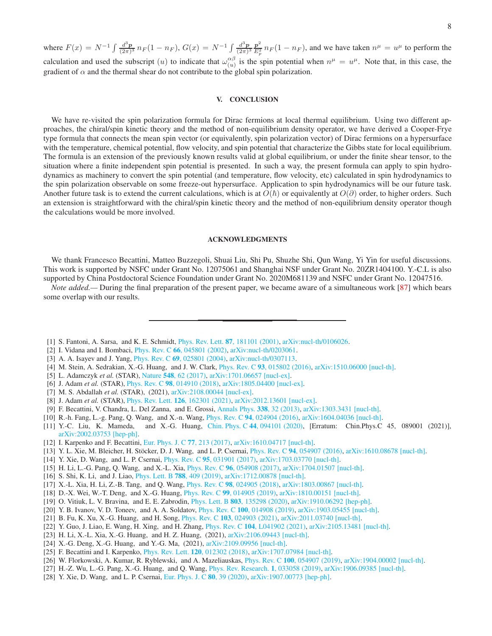where  $F(x) = N^{-1} \int \frac{d^3 p}{(2\pi)^3} n_F(1 - n_F)$ ,  $G(x) = N^{-1} \int \frac{d^3 p}{(2\pi)^3} \frac{p^2}{E_x^2}$  $\frac{p^2}{E_p^2} n_F(1 - n_F)$ , and we have taken  $n^{\mu} = u^{\mu}$  to perform the calculation and used the subscript  $(u)$  to indicate that  $\omega_{(u)}^{\alpha\beta}$  $\begin{array}{l}\n\alpha\beta \\
(u)\n\end{array}$  is the spin potential when  $n^{\mu} = u^{\mu}$ . Note that, in this case, the gradient of  $\alpha$  and the thermal shear do not contribute to the global spin polarization.

## V. CONCLUSION

We have re-visited the spin polarization formula for Dirac fermions at local thermal equilibrium. Using two different approaches, the chiral/spin kinetic theory and the method of non-equilibrium density operator, we have derived a Cooper-Frye type formula that connects the mean spin vector (or equivalently, spin polarization vector) of Dirac fermions on a hypersurface with the temperature, chemical potential, flow velocity, and spin potential that characterize the Gibbs state for local equilibrium. The formula is an extension of the previously known results valid at global equilibrium, or under the finite shear tensor, to the situation where a finite independent spin potential is presented. In such a way, the present formula can apply to spin hydrodynamics as machinery to convert the spin potential (and temperature, flow velocity, etc) calculated in spin hydrodynamics to the spin polarization observable on some freeze-out hypersurface. Application to spin hydrodynamics will be our future task. Another future task is to extend the current calculations, which is at  $O(\hbar)$  or equivalently at  $O(\partial)$  order, to higher orders. Such an extension is straightforward with the chiral/spin kinetic theory and the method of non-equilibrium density operator though the calculations would be more involved.

## ACKNOWLEDGMENTS

We thank Francesco Becattini, Matteo Buzzegoli, Shuai Liu, Shi Pu, Shuzhe Shi, Qun Wang, Yi Yin for useful discussions. This work is supported by NSFC under Grant No. 12075061 and Shanghai NSF under Grant No. 20ZR1404100. Y.-C.L is also supported by China Postdoctoral Science Foundation under Grant No. 2020M681139 and NSFC under Grant No. 12047516.

*Note added.*— During the final preparation of the present paper, we became aware of a simultaneous work [\[87\]](#page-8-28) which bears some overlap with our results.

- <span id="page-7-0"></span>[1] S. Fantoni, A. Sarsa, and K. E. Schmidt, Phys. Rev. Lett. 87[, 181101 \(2001\),](http://dx.doi.org/10.1103/PhysRevLett.87.181101) [arXiv:nucl-th/0106026.](http://arxiv.org/abs/nucl-th/0106026)
- [2] I. Vidana and I. Bombaci, Phys. Rev. C 66[, 045801 \(2002\),](http://dx.doi.org/10.1103/PhysRevC.66.045801) [arXiv:nucl-th/0203061.](http://arxiv.org/abs/nucl-th/0203061)
- [3] A. A. Isayev and J. Yang, Phys. Rev. C 69[, 025801 \(2004\),](http://dx.doi.org/10.1103/PhysRevC.69.025801) [arXiv:nucl-th/0307113.](http://arxiv.org/abs/nucl-th/0307113)
- <span id="page-7-1"></span>[4] M. Stein, A. Sedrakian, X.-G. Huang, and J. W. Clark, *Phys. Rev. C* 93[, 015802 \(2016\),](http://dx.doi.org/10.1103/PhysRevC.93.015802) [arXiv:1510.06000 \[nucl-th\].](http://arxiv.org/abs/1510.06000)
- <span id="page-7-2"></span>[5] L. Adamczyk *et al.* (STAR), Nature 548[, 62 \(2017\),](http://dx.doi.org/10.1038/nature23004) [arXiv:1701.06657 \[nucl-ex\].](http://arxiv.org/abs/1701.06657)
- [6] J. Adam *et al.* (STAR), Phys. Rev. C **98**[, 014910 \(2018\),](http://dx.doi.org/ 10.1103/PhysRevC.98.014910) [arXiv:1805.04400 \[nucl-ex\].](http://arxiv.org/abs/1805.04400)
- <span id="page-7-3"></span>[7] M. S. Abdallah *et al.* (STAR), (2021), [arXiv:2108.00044 \[nucl-ex\].](http://arxiv.org/abs/2108.00044)
- <span id="page-7-4"></span>[8] J. Adam *et al.* (STAR), *Phys. Rev. Lett.* **126**[, 162301 \(2021\),](http://dx.doi.org/ 10.1103/PhysRevLett.126.162301) [arXiv:2012.13601 \[nucl-ex\].](http://arxiv.org/abs/2012.13601)
- <span id="page-7-5"></span>[9] F. Becattini, V. Chandra, L. Del Zanna, and E. Grossi, [Annals Phys.](http://dx.doi.org/10.1016/j.aop.2013.07.004) 338, 32 (2013), [arXiv:1303.3431 \[nucl-th\].](http://arxiv.org/abs/1303.3431)
- [10] R.-h. Fang, L.-g. Pang, Q. Wang, and X.-n. Wang, Phys. Rev. C 94[, 024904 \(2016\),](http://dx.doi.org/ 10.1103/PhysRevC.94.024904) [arXiv:1604.04036 \[nucl-th\].](http://arxiv.org/abs/1604.04036)
- <span id="page-7-6"></span>[11] Y.-C. Liu, K. Mameda, and X.-G. Huang, Chin. Phys. C 44[, 094101 \(2020\),](http://dx.doi.org/10.1088/1674-1137/ac009b) [Erratum: Chin. Phys. C 45, 089001 (2021)], [arXiv:2002.03753 \[hep-ph\].](http://arxiv.org/abs/2002.03753)
- <span id="page-7-7"></span>[12] I. Karpenko and F. Becattini, [Eur. Phys. J. C](http://dx.doi.org/10.1140/epjc/s10052-017-4765-1) 77, 213 (2017), [arXiv:1610.04717 \[nucl-th\].](http://arxiv.org/abs/1610.04717)
- [13] Y. L. Xie, M. Bleicher, H. Stöcker, D. J. Wang, and L. P. Csernai, *Phys. Rev. C* 94[, 054907 \(2016\),](http://dx.doi.org/ 10.1103/PhysRevC.94.054907) [arXiv:1610.08678 \[nucl-th\].](http://arxiv.org/abs/1610.08678)
- [14] Y. Xie, D. Wang, and L. P. Csernai, Phys. Rev. C 95[, 031901 \(2017\),](http://dx.doi.org/10.1103/PhysRevC.95.031901) [arXiv:1703.03770 \[nucl-th\].](http://arxiv.org/abs/1703.03770)
- [15] H. Li, L.-G. Pang, Q. Wang, and X.-L. Xia, Phys. Rev. C 96[, 054908 \(2017\),](http://dx.doi.org/ 10.1103/PhysRevC.96.054908) [arXiv:1704.01507 \[nucl-th\].](http://arxiv.org/abs/1704.01507)
- [16] S. Shi, K. Li, and J. Liao, [Phys. Lett. B](http://dx.doi.org/ 10.1016/j.physletb.2018.09.066) 788, 409 (2019), [arXiv:1712.00878 \[nucl-th\].](http://arxiv.org/abs/1712.00878)
- [17] X.-L. Xia, H. Li, Z.-B. Tang, and Q. Wang, Phys. Rev. C 98[, 024905 \(2018\),](http://dx.doi.org/ 10.1103/PhysRevC.98.024905) [arXiv:1803.00867 \[nucl-th\].](http://arxiv.org/abs/1803.00867)
- [18] D.-X. Wei, W.-T. Deng, and X.-G. Huang, Phys. Rev. C 99[, 014905 \(2019\),](http://dx.doi.org/10.1103/PhysRevC.99.014905) [arXiv:1810.00151 \[nucl-th\].](http://arxiv.org/abs/1810.00151)
- [19] O. Vitiuk, L. V. Bravina, and E. E. Zabrodin, Phys. Lett. B 803[, 135298 \(2020\),](http://dx.doi.org/10.1016/j.physletb.2020.135298) [arXiv:1910.06292 \[hep-ph\].](http://arxiv.org/abs/1910.06292)
- [20] Y. B. Ivanov, V. D. Toneev, and A. A. Soldatov, Phys. Rev. C 100[, 014908 \(2019\),](http://dx.doi.org/10.1103/PhysRevC.100.014908) [arXiv:1903.05455 \[nucl-th\].](http://arxiv.org/abs/1903.05455)
- [21] B. Fu, K. Xu, X.-G. Huang, and H. Song, Phys. Rev. C 103[, 024903 \(2021\),](http://dx.doi.org/ 10.1103/PhysRevC.103.024903) [arXiv:2011.03740 \[nucl-th\].](http://arxiv.org/abs/2011.03740)
- [22] Y. Guo, J. Liao, E. Wang, H. Xing, and H. Zhang, Phys. Rev. C 104[, L041902 \(2021\),](http://dx.doi.org/ 10.1103/PhysRevC.104.L041902) [arXiv:2105.13481 \[nucl-th\].](http://arxiv.org/abs/2105.13481)
- [23] H. Li, X.-L. Xia, X.-G. Huang, and H. Z. Huang, (2021),  $arXiv:2106.09443$  [nucl-th].
- <span id="page-7-8"></span>[24] X.-G. Deng, X.-G. Huang, and Y.-G. Ma, (2021), [arXiv:2109.09956 \[nucl-th\].](http://arxiv.org/abs/2109.09956)
- <span id="page-7-9"></span>[25] F. Becattini and I. Karpenko, Phys. Rev. Lett. 120[, 012302 \(2018\),](http://dx.doi.org/10.1103/PhysRevLett.120.012302) [arXiv:1707.07984 \[nucl-th\].](http://arxiv.org/abs/1707.07984)
- <span id="page-7-10"></span>[26] W. Florkowski, A. Kumar, R. Ryblewski, and A. Mazeliauskas, Phys. Rev. C 100[, 054907 \(2019\),](http://dx.doi.org/10.1103/PhysRevC.100.054907) [arXiv:1904.00002 \[nucl-th\].](http://arxiv.org/abs/1904.00002)
- <span id="page-7-11"></span>[27] H.-Z. Wu, L.-G. Pang, X.-G. Huang, and Q. Wang, [Phys. Rev. Research.](http://dx.doi.org/ 10.1103/PhysRevResearch.1.033058) 1, 033058 (2019), [arXiv:1906.09385 \[nucl-th\].](http://arxiv.org/abs/1906.09385)
- [28] Y. Xie, D. Wang, and L. P. Csernai, [Eur. Phys. J. C](http://dx.doi.org/10.1140/epjc/s10052-019-7576-8) 80, 39 (2020), [arXiv:1907.00773 \[hep-ph\].](http://arxiv.org/abs/1907.00773)